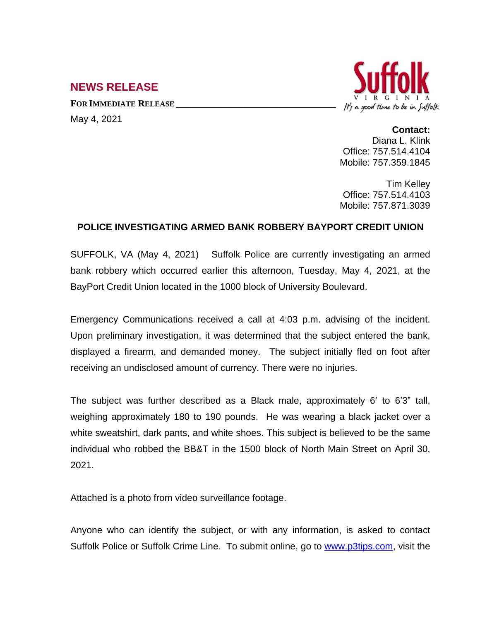## **NEWS RELEASE**

**FOR IMMEDIATE RELEASE \_\_\_\_\_\_\_\_\_\_\_\_\_\_\_\_\_\_\_\_\_\_\_\_\_\_\_\_\_\_\_\_\_\_** May 4, 2021



**Contact:** Diana L. Klink Office: 757.514.4104 Mobile: 757.359.1845

Tim Kelley Office: 757.514.4103 Mobile: 757.871.3039

## **POLICE INVESTIGATING ARMED BANK ROBBERY BAYPORT CREDIT UNION**

SUFFOLK, VA (May 4, 2021) Suffolk Police are currently investigating an armed bank robbery which occurred earlier this afternoon, Tuesday, May 4, 2021, at the BayPort Credit Union located in the 1000 block of University Boulevard.

Emergency Communications received a call at 4:03 p.m. advising of the incident. Upon preliminary investigation, it was determined that the subject entered the bank, displayed a firearm, and demanded money. The subject initially fled on foot after receiving an undisclosed amount of currency. There were no injuries.

The subject was further described as a Black male, approximately 6' to 6'3" tall, weighing approximately 180 to 190 pounds. He was wearing a black jacket over a white sweatshirt, dark pants, and white shoes. This subject is believed to be the same individual who robbed the BB&T in the 1500 block of North Main Street on April 30, 2021.

Attached is a photo from video surveillance footage.

Anyone who can identify the subject, or with any information, is asked to contact Suffolk Police or Suffolk Crime Line. To submit online, go to [www.p3tips.com](http://www.p3tips.com), visit the